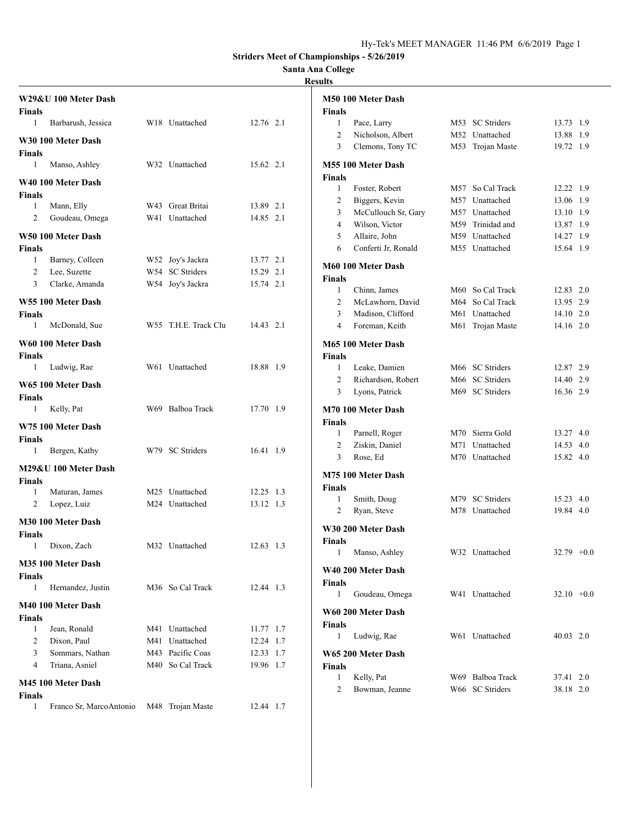### **Santa Ana College**

|                | W29&U 100 Meter Dash    |                      |           | M50 100 Meter Dash                        |                                    |                        |  |
|----------------|-------------------------|----------------------|-----------|-------------------------------------------|------------------------------------|------------------------|--|
| <b>Finals</b>  |                         |                      |           | <b>Finals</b>                             |                                    |                        |  |
| 1              | Barbarush, Jessica      | W18 Unattached       | 12.76 2.1 | 1<br>Pace, Larry                          | M53 SC Striders                    | 13.73 1.9              |  |
|                | W30 100 Meter Dash      |                      |           | $\overline{c}$<br>Nicholson, Albert       | M52 Unattached                     | 13.88 1.9              |  |
| <b>Finals</b>  |                         |                      |           | Clemons, Tony TC<br>3                     | M53 Trojan Maste                   | 19.72 1.9              |  |
| 1              | Manso, Ashley           | W32 Unattached       | 15.62 2.1 | M55 100 Meter Dash                        |                                    |                        |  |
|                | W40 100 Meter Dash      |                      |           | <b>Finals</b>                             |                                    |                        |  |
| <b>Finals</b>  |                         |                      |           | Foster, Robert<br>1                       | M57 So Cal Track                   | 12.22 1.9              |  |
| 1              | Mann, Elly              | W43 Great Britai     | 13.89 2.1 | $\overline{c}$<br>Biggers, Kevin          | M57 Unattached                     | 13.06 1.9              |  |
| $\overline{2}$ | Goudeau, Omega          | W41 Unattached       | 14.85 2.1 | McCullouch Sr, Gary<br>3                  | M57 Unattached                     | 13.10 1.9              |  |
|                | W50 100 Meter Dash      |                      |           | Wilson, Victor<br>4<br>Allaire, John<br>5 | M59 Trinidad and<br>M59 Unattached | 13.87 1.9<br>14.27 1.9 |  |
| <b>Finals</b>  |                         |                      |           | Conferti Jr, Ronald<br>6                  | M55 Unattached                     | 15.64 1.9              |  |
| -1             | Barney, Colleen         | W52 Joy's Jackra     | 13.77 2.1 |                                           |                                    |                        |  |
| $\overline{2}$ | Lee, Suzette            | W54 SC Striders      | 15.29 2.1 | M60 100 Meter Dash                        |                                    |                        |  |
| 3              | Clarke, Amanda          | W54 Joy's Jackra     | 15.74 2.1 | <b>Finals</b>                             |                                    |                        |  |
|                |                         |                      |           | 1<br>Chinn, James                         | M60 So Cal Track                   | 12.83 2.0              |  |
|                | W55 100 Meter Dash      |                      |           | McLawhorn, David<br>2                     | M64 So Cal Track                   | 13.95 2.9              |  |
| <b>Finals</b>  |                         |                      |           | Madison, Clifford<br>3                    | M61 Unattached                     | 14.10 2.0              |  |
| 1              | McDonald, Sue           | W55 T.H.E. Track Clu | 14.43 2.1 | Foreman, Keith<br>4                       | M61 Trojan Maste                   | 14.16 2.0              |  |
|                | W60 100 Meter Dash      |                      |           | M65 100 Meter Dash                        |                                    |                        |  |
| <b>Finals</b>  |                         |                      |           | <b>Finals</b>                             |                                    |                        |  |
| 1              | Ludwig, Rae             | W61 Unattached       | 18.88 1.9 | 1<br>Leake, Damien                        | M66 SC Striders                    | 12.87 2.9              |  |
|                | W65 100 Meter Dash      |                      |           | $\overline{c}$<br>Richardson, Robert      | M66 SC Striders                    | 14.40 2.9              |  |
| Finals         |                         |                      |           | 3<br>Lyons, Patrick                       | M69 SC Striders                    | 16.36 2.9              |  |
| 1              | Kelly, Pat              | W69 Balboa Track     | 17.70 1.9 | M70 100 Meter Dash                        |                                    |                        |  |
|                | W75 100 Meter Dash      |                      |           | <b>Finals</b>                             |                                    |                        |  |
| <b>Finals</b>  |                         |                      |           | Parnell, Roger<br>1                       | M70 Sierra Gold                    | 13.27 4.0              |  |
| 1              | Bergen, Kathy           | W79 SC Striders      | 16.41 1.9 | $\overline{c}$<br>Ziskin, Daniel          | M71 Unattached                     | 14.53 4.0              |  |
|                |                         |                      |           | Rose, Ed<br>3                             | M70 Unattached                     | 15.82 4.0              |  |
| <b>Finals</b>  | M29&U 100 Meter Dash    |                      |           | M75 100 Meter Dash                        |                                    |                        |  |
| -1             | Maturan, James          | M25 Unattached       | 12.25 1.3 | <b>Finals</b>                             |                                    |                        |  |
| 2              | Lopez, Luiz             | M24 Unattached       | 13.12 1.3 | Smith, Doug<br>$\mathbf{1}$               | M79 SC Striders                    | 15.23 4.0              |  |
|                |                         |                      |           | 2<br>Ryan, Steve                          | M78 Unattached                     | 19.84 4.0              |  |
|                | M30 100 Meter Dash      |                      |           | W30 200 Meter Dash                        |                                    |                        |  |
| <b>Finals</b>  |                         |                      |           | <b>Finals</b>                             |                                    |                        |  |
| 1              | Dixon, Zach             | M32 Unattached       | 12.63 1.3 | Manso, Ashley                             | W32 Unattached                     | $32.79 + 0.0$          |  |
|                | M35 100 Meter Dash      |                      |           | W40 200 Meter Dash                        |                                    |                        |  |
| <b>Finals</b>  |                         |                      |           | Finals                                    |                                    |                        |  |
| 1              | Hernandez, Justin       | M36 So Cal Track     | 12.44 1.3 | Goudeau, Omega<br>1                       | W41 Unattached                     | $32.10 +0.0$           |  |
|                | M40 100 Meter Dash      |                      |           |                                           |                                    |                        |  |
| <b>Finals</b>  |                         |                      |           | W60 200 Meter Dash                        |                                    |                        |  |
| -1             | Jean, Ronald            | M41 Unattached       | 11.77 1.7 | <b>Finals</b><br>Ludwig, Rae<br>1         | W61 Unattached                     | 40.03 2.0              |  |
| $\overline{2}$ | Dixon, Paul             | M41 Unattached       | 12.24 1.7 |                                           |                                    |                        |  |
| 3              | Sommars, Nathan         | M43 Pacific Coas     | 12.33 1.7 | W65 200 Meter Dash                        |                                    |                        |  |
| 4              | Triana, Asniel          | M40 So Cal Track     | 19.96 1.7 | <b>Finals</b>                             |                                    |                        |  |
|                | M45 100 Meter Dash      |                      |           | Kelly, Pat<br>$\mathbf{1}$                | W69 Balboa Track                   | 37.41 2.0              |  |
| <b>Finals</b>  |                         |                      |           | Bowman, Jeanne<br>2                       | W66 SC Striders                    | 38.18 2.0              |  |
| 1              | Franco Sr, MarcoAntonio | M48 Trojan Maste     | 12.44 1.7 |                                           |                                    |                        |  |
|                |                         |                      |           |                                           |                                    |                        |  |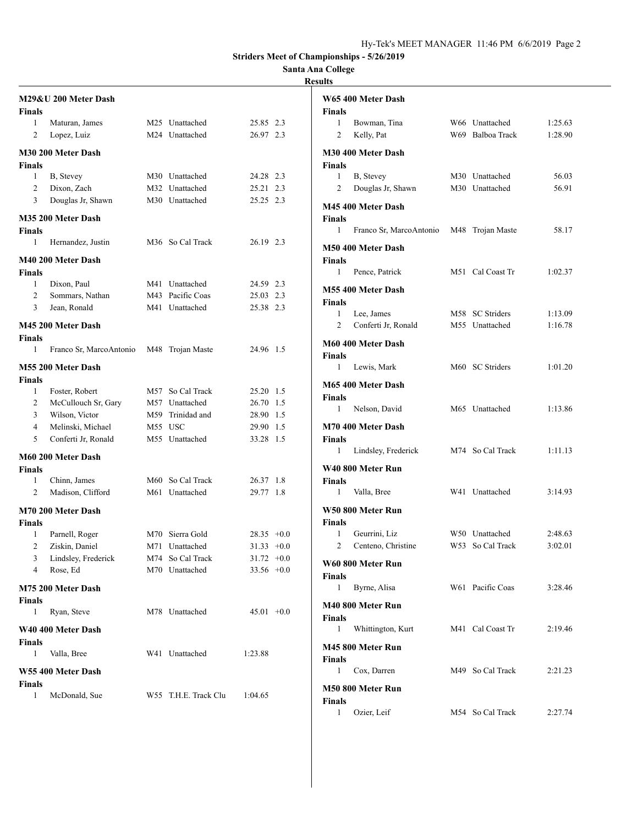## **Santa Ana College**

| <b>Finals</b>      | M29&U 200 Meter Dash      |                      |               |     |
|--------------------|---------------------------|----------------------|---------------|-----|
| $\mathbf{1}$       | Maturan, James            | M25 Unattached       | 25.85 2.3     |     |
| 2                  | Lopez, Luiz               | M24 Unattached       | 26.97 2.3     |     |
| <b>Finals</b>      | M30 200 Meter Dash        |                      |               |     |
| 1                  | B, Stevey                 | M30 Unattached       | 24.28 2.3     |     |
| 2                  | Dixon, Zach               | M32 Unattached       | 25.21 2.3     |     |
| 3                  | Douglas Jr, Shawn         | M30 Unattached       | 25.25 2.3     |     |
| <b>Finals</b>      | M35 200 Meter Dash        |                      |               |     |
| 1                  | Hernandez, Justin         | M36 So Cal Track     | 26.19 2.3     |     |
|                    | <b>M40 200 Meter Dash</b> |                      |               |     |
| <b>Finals</b>      |                           |                      |               |     |
| 1                  | Dixon, Paul               | M41 Unattached       | 24.59 2.3     |     |
| 2                  | Sommars, Nathan           | M43 Pacific Coas     | 25.03 2.3     |     |
| 3                  | Jean, Ronald              | M41 Unattached       | 25.38 2.3     |     |
| <b>Finals</b>      | M45 200 Meter Dash        |                      |               |     |
| 1                  | Franco Sr, MarcoAntonio   | M48 Trojan Maste     | 24.96 1.5     |     |
|                    | M55 200 Meter Dash        |                      |               |     |
| <b>Finals</b>      |                           |                      |               |     |
| $\mathbf{1}$       | Foster, Robert            | M57 So Cal Track     | 25.20 1.5     |     |
| $\overline{c}$     | McCullouch Sr, Gary       | M57 Unattached       | 26.70 1.5     |     |
| 3 <sup>7</sup>     | Wilson, Victor            | M59 Trinidad and     | 28.90 1.5     |     |
| 4                  | Melinski, Michael         | M55 USC              | 29.90         | 1.5 |
| 5                  | Conferti Jr, Ronald       | M55 Unattached       | 33.28         | 1.5 |
| <b>Finals</b>      | M60 200 Meter Dash        |                      |               |     |
| 1                  | Chinn, James              | M60 So Cal Track     | 26.37         | 1.8 |
| $\overline{c}$     | Madison, Clifford         | M61 Unattached       | 29.77         | 1.8 |
| <b>Finals</b>      | M70 200 Meter Dash        |                      |               |     |
| 1                  | Parnell, Roger            | M70 Sierra Gold      | $28.35 + 0.0$ |     |
| 2                  | Ziskin, Daniel            | M71 Unattached       | $31.33 +0.0$  |     |
| 3                  | Lindsley, Frederick       | M74 So Cal Track     | $31.72 +0.0$  |     |
| 4                  | Rose, Ed                  | M70 Unattached       | $33.56 +0.0$  |     |
|                    | M75 200 Meter Dash        |                      |               |     |
| <b>Finals</b><br>1 | Ryan, Steve               | M78 Unattached       | $45.01 +0.0$  |     |
| <b>Finals</b>      | W40 400 Meter Dash        |                      |               |     |
| 1                  | Valla, Bree               | W41 Unattached       | 1:23.88       |     |
|                    | W55 400 Meter Dash        |                      |               |     |
| <b>Finals</b><br>1 | McDonald, Sue             | W55 T.H.E. Track Clu | 1:04.65       |     |

|                    | W65 400 Meter Dash      |                  |         |
|--------------------|-------------------------|------------------|---------|
| <b>Finals</b>      |                         |                  |         |
| 1                  | Bowman, Tina            | W66 Unattached   | 1:25.63 |
| 2                  | Kelly, Pat              | W69 Balboa Track | 1:28.90 |
|                    | M30 400 Meter Dash      |                  |         |
| <b>Finals</b>      |                         |                  |         |
| 1                  | B, Stevey               | M30 Unattached   | 56.03   |
| 2                  | Douglas Jr, Shawn       | M30 Unattached   | 56.91   |
|                    | M45 400 Meter Dash      |                  |         |
| Finals             |                         |                  |         |
| 1                  | Franco Sr, MarcoAntonio | M48 Trojan Maste | 58.17   |
|                    |                         |                  |         |
|                    | M50 400 Meter Dash      |                  |         |
| <b>Finals</b><br>1 | Pence, Patrick          | M51 Cal Coast Tr | 1:02.37 |
|                    |                         |                  |         |
|                    | M55 400 Meter Dash      |                  |         |
| Finals             |                         |                  |         |
| 1                  | Lee, James              | M58 SC Striders  | 1:13.09 |
| 2                  | Conferti Jr, Ronald     | M55 Unattached   | 1:16.78 |
|                    | M60 400 Meter Dash      |                  |         |
| <b>Finals</b>      |                         |                  |         |
| 1                  | Lewis, Mark             | M60 SC Striders  | 1:01.20 |
|                    | M65 400 Meter Dash      |                  |         |
| <b>Finals</b>      |                         |                  |         |
| 1                  | Nelson, David           | M65 Unattached   | 1:13.86 |
|                    | M70 400 Meter Dash      |                  |         |
| <b>Finals</b>      |                         |                  |         |
| 1                  | Lindsley, Frederick     | M74 So Cal Track | 1:11.13 |
|                    |                         |                  |         |
|                    | W40 800 Meter Run       |                  |         |
| Finals<br>1        | Valla, Bree             | W41 Unattached   | 3:14.93 |
|                    |                         |                  |         |
|                    | W50 800 Meter Run       |                  |         |
| Finals             |                         |                  |         |
| 1                  | Geurrini, Liz           | W50 Unattached   | 2:48.63 |
| 2                  | Centeno, Christine      | W53 So Cal Track | 3:02.01 |
|                    | W60 800 Meter Run       |                  |         |
| <b>Finals</b>      |                         |                  |         |
| 1                  | Byrne, Alisa            | W61 Pacific Coas | 3:28.46 |
|                    | M40 800 Meter Run       |                  |         |
| <b>Finals</b>      |                         |                  |         |
| 1                  | Whittington, Kurt       | M41 Cal Coast Tr | 2:19.46 |
|                    | M45 800 Meter Run       |                  |         |
| <b>Finals</b>      |                         |                  |         |
| $\mathbf{1}$       | Cox, Darren             | M49 So Cal Track | 2:21.23 |
|                    |                         |                  |         |
|                    | M50 800 Meter Run       |                  |         |
| <b>Finals</b><br>1 | Ozier, Leif             | M54 So Cal Track | 2:27.74 |
|                    |                         |                  |         |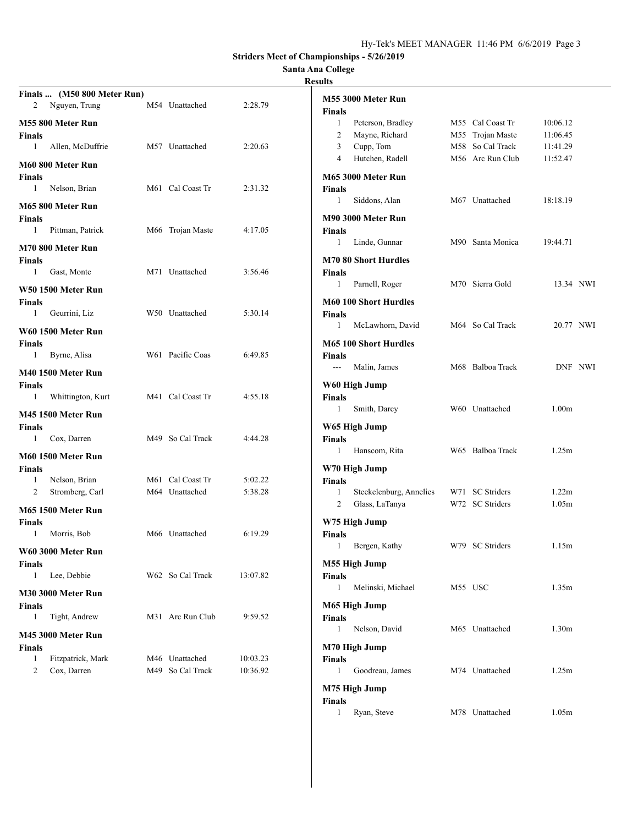## **Santa Ana College**

#### **Results**

|                | Finals  (M50 800 Meter Run) |                  |          |               |                              |                  |                   |         |
|----------------|-----------------------------|------------------|----------|---------------|------------------------------|------------------|-------------------|---------|
| 2              | Nguyen, Trung               | M54 Unattached   | 2:28.79  | <b>Finals</b> | M55 3000 Meter Run           |                  |                   |         |
|                | M55 800 Meter Run           |                  |          | $\mathbf{1}$  | Peterson, Bradley            | M55 Cal Coast Tr | 10:06.12          |         |
| Finals         |                             |                  |          | 2             | Mayne, Richard               | M55 Trojan Maste | 11:06.45          |         |
| 1              | Allen, McDuffrie            | M57 Unattached   | 2:20.63  | 3             | Cupp, Tom                    | M58 So Cal Track | 11:41.29          |         |
|                | M60 800 Meter Run           |                  |          | 4             | Hutchen, Radell              | M56 Arc Run Club | 11:52.47          |         |
| Finals         |                             |                  |          |               | M65 3000 Meter Run           |                  |                   |         |
| $\mathbf{1}$   | Nelson, Brian               | M61 Cal Coast Tr | 2:31.32  | <b>Finals</b> |                              |                  |                   |         |
|                | M65 800 Meter Run           |                  |          | 1             | Siddons, Alan                | M67 Unattached   | 18:18.19          |         |
| Finals         |                             |                  |          |               | M90 3000 Meter Run           |                  |                   |         |
| 1              | Pittman, Patrick            | M66 Trojan Maste | 4:17.05  | <b>Finals</b> |                              |                  |                   |         |
|                | M70 800 Meter Run           |                  |          | 1             | Linde, Gunnar                | M90 Santa Monica | 19:44.71          |         |
| Finals         |                             |                  |          |               | <b>M70 80 Short Hurdles</b>  |                  |                   |         |
| 1              | Gast, Monte                 | M71 Unattached   | 3:56.46  | <b>Finals</b> |                              |                  |                   |         |
|                | W50 1500 Meter Run          |                  |          | $\mathbf{1}$  | Parnell, Roger               | M70 Sierra Gold  | 13.34 NWI         |         |
| <b>Finals</b>  |                             |                  |          |               | <b>M60 100 Short Hurdles</b> |                  |                   |         |
| 1              | Geurrini, Liz               | W50 Unattached   | 5:30.14  | <b>Finals</b> |                              |                  |                   |         |
|                | W60 1500 Meter Run          |                  |          | 1             | McLawhorn, David             | M64 So Cal Track | 20.77 NWI         |         |
| Finals         |                             |                  |          |               | <b>M65 100 Short Hurdles</b> |                  |                   |         |
| 1              | Byrne, Alisa                | W61 Pacific Coas | 6:49.85  | <b>Finals</b> |                              |                  |                   |         |
|                | M40 1500 Meter Run          |                  |          | ---           | Malin, James                 | M68 Balboa Track |                   | DNF NWI |
| Finals         |                             |                  |          |               | W60 High Jump                |                  |                   |         |
| 1              | Whittington, Kurt           | M41 Cal Coast Tr | 4:55.18  | <b>Finals</b> |                              |                  |                   |         |
|                | M45 1500 Meter Run          |                  |          | $\mathbf{1}$  | Smith, Darcy                 | W60 Unattached   | 1.00 <sub>m</sub> |         |
| Finals         |                             |                  |          |               | W65 High Jump                |                  |                   |         |
| 1              | Cox, Darren                 | M49 So Cal Track | 4:44.28  | Finals        |                              |                  |                   |         |
|                | M60 1500 Meter Run          |                  |          | 1             | Hanscom, Rita                | W65 Balboa Track | 1.25m             |         |
| Finals         |                             |                  |          |               | W70 High Jump                |                  |                   |         |
| 1              | Nelson, Brian               | M61 Cal Coast Tr | 5:02.22  | <b>Finals</b> |                              |                  |                   |         |
| 2              | Stromberg, Carl             | M64 Unattached   | 5:38.28  | 1             | Steekelenburg, Annelies      | W71 SC Striders  | 1.22m             |         |
|                | M65 1500 Meter Run          |                  |          | 2             | Glass, LaTanya               | W72 SC Striders  | 1.05m             |         |
| <b>Finals</b>  |                             |                  |          |               | W75 High Jump                |                  |                   |         |
| 1              | Morris, Bob                 | M66 Unattached   | 6:19.29  | <b>Finals</b> |                              |                  |                   |         |
|                | W60 3000 Meter Run          |                  |          | $\mathbf{1}$  | Bergen, Kathy                | W79 SC Striders  | 1.15m             |         |
| Finals         |                             |                  |          |               | M55 High Jump                |                  |                   |         |
| 1              | Lee, Debbie                 | W62 So Cal Track | 13:07.82 | <b>Finals</b> |                              |                  |                   |         |
|                | M30 3000 Meter Run          |                  |          | 1             | Melinski, Michael            | M55 USC          | 1.35m             |         |
| Finals         |                             |                  |          |               | M65 High Jump                |                  |                   |         |
| $\mathbf{1}$   | Tight, Andrew               | M31 Arc Run Club | 9:59.52  | <b>Finals</b> |                              |                  |                   |         |
|                | M45 3000 Meter Run          |                  |          | 1             | Nelson, David                | M65 Unattached   | 1.30 <sub>m</sub> |         |
| <b>Finals</b>  |                             |                  |          |               | M70 High Jump                |                  |                   |         |
| $\mathbf{1}$   | Fitzpatrick, Mark           | M46 Unattached   | 10:03.23 | <b>Finals</b> |                              |                  |                   |         |
| $\overline{c}$ | Cox, Darren                 | M49 So Cal Track | 10:36.92 | 1             | Goodreau, James              | M74 Unattached   | 1.25m             |         |
|                |                             |                  |          |               | M75 High Jump                |                  |                   |         |
|                |                             |                  |          | Finals        |                              |                  |                   |         |

1 Ryan, Steve M78 Unattached 1.05m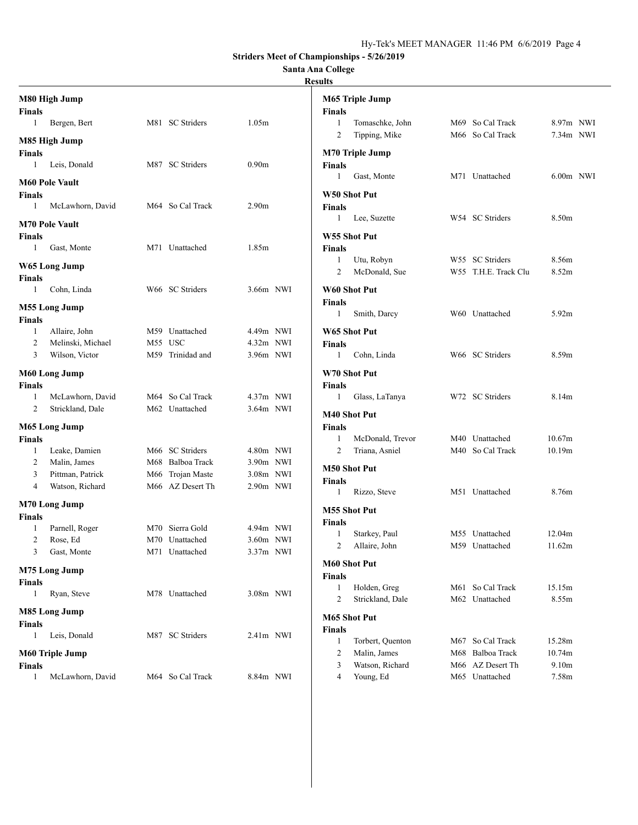### **Santa Ana College**

|                        | M80 High Jump         |                  |                   | M65 Triple Jump                                                        |  |
|------------------------|-----------------------|------------------|-------------------|------------------------------------------------------------------------|--|
| Finals<br>$\mathbf{1}$ | Bergen, Bert          | M81 SC Striders  | 1.05m             | <b>Finals</b><br>Tomaschke, John<br>M69 So Cal Track<br>8.97m NWI<br>1 |  |
|                        |                       |                  |                   | M66 So Cal Track<br>2<br>Tipping, Mike<br>$7.34m$ NWI                  |  |
|                        | M85 High Jump         |                  |                   |                                                                        |  |
| <b>Finals</b>          |                       |                  |                   | <b>M70 Triple Jump</b>                                                 |  |
| 1                      | Leis, Donald          | M87 SC Striders  | 0.90 <sub>m</sub> | <b>Finals</b>                                                          |  |
|                        | <b>M60 Pole Vault</b> |                  |                   | Gast, Monte<br>M71 Unattached<br>$6.00m$ NWI<br>1                      |  |
| Finals                 |                       |                  |                   | W50 Shot Put                                                           |  |
| 1                      | McLawhorn, David      | M64 So Cal Track | 2.90 <sub>m</sub> | <b>Finals</b>                                                          |  |
|                        | <b>M70 Pole Vault</b> |                  |                   | W54 SC Striders<br>8.50 <sub>m</sub><br>Lee, Suzette<br>$\mathbf{1}$   |  |
| Finals                 |                       |                  |                   | W55 Shot Put                                                           |  |
| 1                      | Gast, Monte           | M71 Unattached   | 1.85m             | <b>Finals</b>                                                          |  |
|                        |                       |                  |                   | W55 SC Striders<br>8.56m<br>Utu, Robyn<br>1                            |  |
|                        | W65 Long Jump         |                  |                   | 8.52m<br>2<br>McDonald, Sue<br>W55 T.H.E. Track Clu                    |  |
| Finals                 | Cohn, Linda           | W66 SC Striders  |                   |                                                                        |  |
| 1                      |                       |                  | 3.66m NWI         | W60 Shot Put                                                           |  |
|                        | <b>M55 Long Jump</b>  |                  |                   | <b>Finals</b><br>W60 Unattached<br>5.92m<br>1<br>Smith, Darcy          |  |
| Finals                 |                       |                  |                   |                                                                        |  |
| 1                      | Allaire, John         | M59 Unattached   | 4.49m NWI         | W65 Shot Put                                                           |  |
| 2                      | Melinski, Michael     | M55 USC          | 4.32m NWI         | <b>Finals</b>                                                          |  |
| 3                      | Wilson, Victor        | M59 Trinidad and | 3.96m NWI         | W66 SC Striders<br>8.59m<br>Cohn, Linda<br>$\mathbf{1}$                |  |
|                        | M60 Long Jump         |                  |                   | W70 Shot Put                                                           |  |
| Finals                 |                       |                  |                   | <b>Finals</b>                                                          |  |
| 1                      | McLawhorn, David      | M64 So Cal Track | $4.37m$ NWI       | 8.14m<br>W72 SC Striders<br>$\mathbf{1}$<br>Glass, LaTanya             |  |
| 2                      | Strickland, Dale      | M62 Unattached   | $3.64m$ NWI       | M40 Shot Put                                                           |  |
|                        | M65 Long Jump         |                  |                   | <b>Finals</b>                                                          |  |
| Finals                 |                       |                  |                   | 10.67m<br>McDonald, Trevor<br>M40 Unattached<br>1                      |  |
| -1                     | Leake, Damien         | M66 SC Striders  | 4.80m NWI         | Triana, Asniel<br>M40 So Cal Track<br>10.19m<br>2                      |  |
| 2                      | Malin, James          | M68 Balboa Track | 3.90m NWI         |                                                                        |  |
| 3                      | Pittman, Patrick      | M66 Trojan Maste | 3.08m NWI         | <b>M50 Shot Put</b>                                                    |  |
| 4                      | Watson, Richard       | M66 AZ Desert Th | $2.90m$ NWI       | Finals<br>M51 Unattached<br>8.76m                                      |  |
|                        | <b>M70 Long Jump</b>  |                  |                   | Rizzo, Steve<br>$\mathbf{1}$                                           |  |
| Finals                 |                       |                  |                   | <b>M55 Shot Put</b>                                                    |  |
| 1                      | Parnell, Roger        | M70 Sierra Gold  | 4.94m NWI         | <b>Finals</b>                                                          |  |
| 2                      | Rose, Ed              | M70 Unattached   | $3.60m$ NWI       | 12.04m<br>Starkey, Paul<br>M55 Unattached<br>1                         |  |
|                        | Gast, Monte           | M71 Unattached   | 3.37m NWI         | 2<br>Allaire, John<br>M59 Unattached<br>11.62m                         |  |
|                        |                       |                  |                   | <b>M60 Shot Put</b>                                                    |  |
|                        | M75 Long Jump         |                  |                   | <b>Finals</b>                                                          |  |
| Finals                 |                       |                  |                   | Holden, Greg<br>M61 So Cal Track<br>15.15m<br>$\mathbf{1}$             |  |
| $\mathbf{1}$           | Ryan, Steve           | M78 Unattached   | 3.08m NWI         | M62 Unattached<br>8.55m<br>2<br>Strickland, Dale                       |  |
|                        | M85 Long Jump         |                  |                   | <b>M65 Shot Put</b>                                                    |  |
| Finals                 |                       |                  |                   | <b>Finals</b>                                                          |  |
| 1                      | Leis, Donald          | M87 SC Striders  | 2.41m NWI         | 15.28m<br>Torbert, Quenton<br>M67 So Cal Track<br>1                    |  |
|                        | M60 Triple Jump       |                  |                   | M68 Balboa Track<br>10.74m<br>2<br>Malin, James                        |  |
| Finals                 |                       |                  |                   | Watson, Richard<br>M66 AZ Desert Th<br>9.10 <sub>m</sub><br>3          |  |
| 1                      | McLawhorn, David      | M64 So Cal Track | 8.84m NWI         | Young, Ed<br>M65 Unattached<br>7.58m<br>4                              |  |
|                        |                       |                  |                   |                                                                        |  |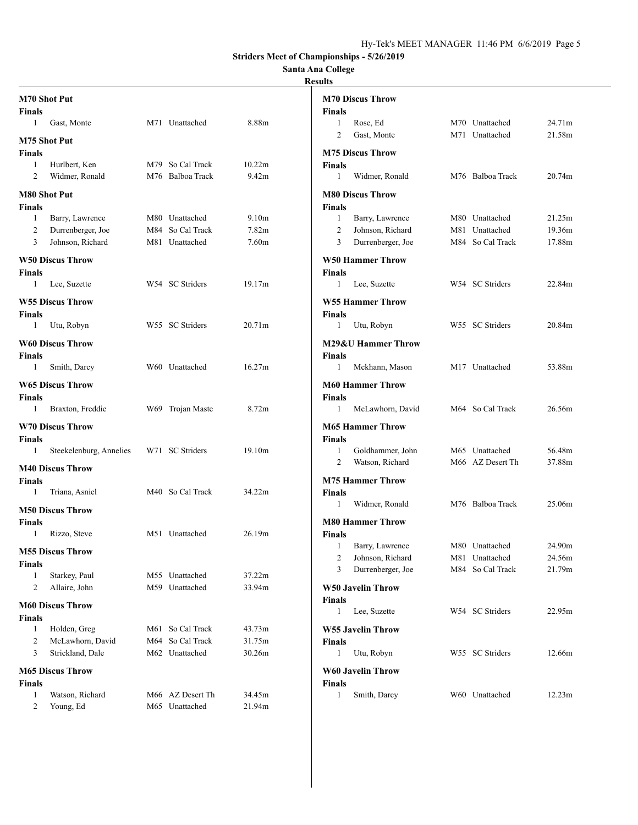#### **Santa Ana College**

| M70 Shot Put                                                                                           | <b>M70 Discus Throw</b>                                                                                 |
|--------------------------------------------------------------------------------------------------------|---------------------------------------------------------------------------------------------------------|
| <b>Finals</b><br>8.88m<br>Gast, Monte<br>M71 Unattached<br>1                                           | <b>Finals</b><br>Rose, Ed<br>M70 Unattached<br>24.71m<br>1                                              |
|                                                                                                        | $\overline{c}$<br>Gast, Monte<br>M71 Unattached<br>21.58m                                               |
| M75 Shot Put<br><b>Finals</b>                                                                          | <b>M75 Discus Throw</b>                                                                                 |
| Hurlbert, Ken<br>M79 So Cal Track<br>10.22m<br>$\mathbf{1}$                                            | <b>Finals</b>                                                                                           |
| M76 Balboa Track<br>9.42m<br>2<br>Widmer, Ronald                                                       | 1<br>Widmer, Ronald<br>M76 Balboa Track<br>20.74m                                                       |
| <b>M80 Shot Put</b>                                                                                    | <b>M80 Discus Throw</b>                                                                                 |
| <b>Finals</b>                                                                                          | <b>Finals</b>                                                                                           |
| Barry, Lawrence<br>M80 Unattached<br>9.10 <sub>m</sub><br>1                                            | Barry, Lawrence<br>M80 Unattached<br>21.25m<br>$\mathbf{1}$                                             |
| 2<br>M84 So Cal Track<br>7.82m<br>Durrenberger, Joe                                                    | $\overline{2}$<br>Johnson, Richard<br>M81 Unattached<br>19.36m                                          |
| Johnson, Richard<br>7.60 <sub>m</sub><br>3<br>M81 Unattached                                           | Durrenberger, Joe<br>M84 So Cal Track<br>17.88m<br>3                                                    |
| <b>W50 Discus Throw</b>                                                                                | <b>W50 Hammer Throw</b>                                                                                 |
| Finals                                                                                                 | <b>Finals</b>                                                                                           |
| W54 SC Striders<br>19.17m<br>$\mathbf{1}$<br>Lee, Suzette                                              | 1<br>Lee, Suzette<br>W54 SC Striders<br>22.84m                                                          |
| <b>W55 Discus Throw</b>                                                                                | <b>W55 Hammer Throw</b>                                                                                 |
| <b>Finals</b>                                                                                          | <b>Finals</b>                                                                                           |
| Utu, Robyn<br>W55 SC Striders<br>20.71m<br>$\mathbf{1}$                                                | Utu, Robyn<br>W55 SC Striders<br>20.84m<br>1                                                            |
| <b>W60 Discus Throw</b>                                                                                | <b>M29&amp;U Hammer Throw</b>                                                                           |
| <b>Finals</b>                                                                                          | <b>Finals</b>                                                                                           |
| W60 Unattached<br>16.27m<br>Smith, Darcy<br>1                                                          | Mckhann, Mason<br>M17 Unattached<br>53.88m<br>1                                                         |
| <b>W65 Discus Throw</b>                                                                                | <b>M60 Hammer Throw</b>                                                                                 |
| <b>Finals</b>                                                                                          | <b>Finals</b>                                                                                           |
| Braxton, Freddie<br>W69 Trojan Maste<br>8.72m<br>1                                                     | McLawhorn, David<br>M64 So Cal Track<br>1<br>26.56m                                                     |
| <b>W70 Discus Throw</b>                                                                                | <b>M65 Hammer Throw</b>                                                                                 |
| <b>Finals</b>                                                                                          | <b>Finals</b>                                                                                           |
| W71 SC Striders<br>19.10m<br>Steekelenburg, Annelies<br>1                                              | Goldhammer, John<br>M65 Unattached<br>56.48m<br>1<br>Watson, Richard<br>M66 AZ Desert Th<br>37.88m<br>2 |
| <b>M40 Discus Throw</b>                                                                                |                                                                                                         |
| <b>Finals</b>                                                                                          | <b>M75 Hammer Throw</b>                                                                                 |
| M40 So Cal Track<br>34.22m<br>Triana, Asniel<br>1                                                      | <b>Finals</b><br>Widmer, Ronald<br>M76 Balboa Track<br>25.06m<br>1                                      |
| <b>M50 Discus Throw</b>                                                                                |                                                                                                         |
| Finals                                                                                                 | <b>M80 Hammer Throw</b>                                                                                 |
| 26.19m<br>Rizzo, Steve<br>M51 Unattached<br>1                                                          | <b>Finals</b>                                                                                           |
| <b>M55 Discus Throw</b>                                                                                | 1<br>Barry, Lawrence<br>M80 Unattached<br>24.90m<br>Johnson, Richard<br>M81 Unattached<br>24.56m        |
| <b>Finals</b>                                                                                          | 3<br>Durrenberger, Joe<br>M84 So Cal Track<br>21.79m                                                    |
| M55 Unattached<br>37.22m<br>Starkey, Paul<br>1                                                         |                                                                                                         |
| M59 Unattached<br>33.94m<br>2<br>Allaire, John                                                         | <b>W50 Javelin Throw</b>                                                                                |
| <b>M60 Discus Throw</b>                                                                                | <b>Finals</b><br>W54 SC Striders<br>Lee, Suzette<br>22.95m<br>1                                         |
| <b>Finals</b>                                                                                          |                                                                                                         |
| Holden, Greg<br>43.73m<br>M61 So Cal Track<br>1<br>McLawhorn, David<br>M64 So Cal Track<br>31.75m<br>2 | W55 Javelin Throw<br><b>Finals</b>                                                                      |
| Strickland, Dale<br>M62 Unattached<br>30.26m<br>3                                                      | Utu, Robyn<br>W55 SC Striders<br>12.66m<br>1                                                            |
|                                                                                                        |                                                                                                         |
| <b>M65 Discus Throw</b>                                                                                | <b>W60 Javelin Throw</b>                                                                                |
| <b>Finals</b><br>Watson, Richard<br>M66 AZ Desert Th<br>34.45m<br>1                                    | Finals<br>Smith, Darcy<br>W60 Unattached<br>12.23m<br>1                                                 |
| M65 Unattached<br>21.94m<br>2<br>Young, Ed                                                             |                                                                                                         |
|                                                                                                        |                                                                                                         |